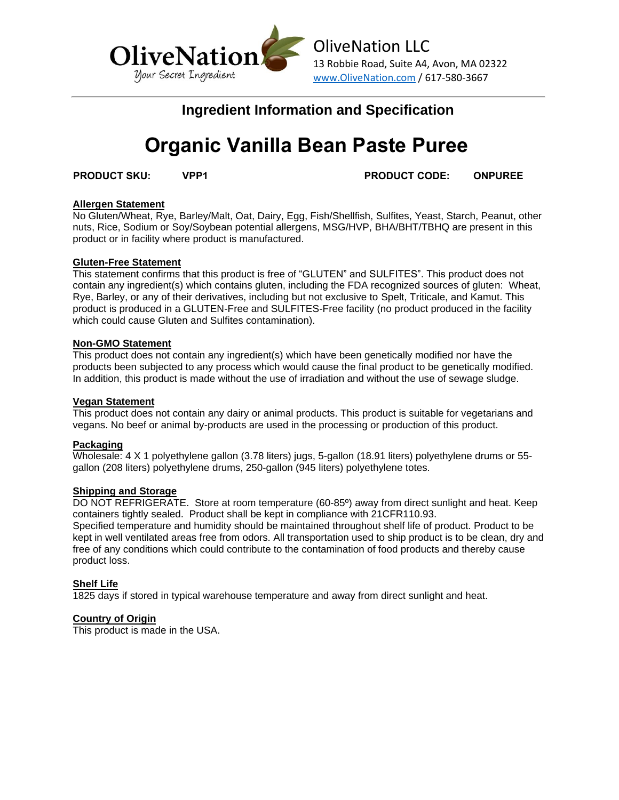

# **Ingredient Information and Specification**

# **Organic Vanilla Bean Paste Puree**

**PRODUCT SKU: VPP1 PRODUCT CODE: ONPUREE**

### **Allergen Statement**

No Gluten/Wheat, Rye, Barley/Malt, Oat, Dairy, Egg, Fish/Shellfish, Sulfites, Yeast, Starch, Peanut, other nuts, Rice, Sodium or Soy/Soybean potential allergens, MSG/HVP, BHA/BHT/TBHQ are present in this product or in facility where product is manufactured.

### **Gluten-Free Statement**

This statement confirms that this product is free of "GLUTEN" and SULFITES". This product does not contain any ingredient(s) which contains gluten, including the FDA recognized sources of gluten: Wheat, Rye, Barley, or any of their derivatives, including but not exclusive to Spelt, Triticale, and Kamut. This product is produced in a GLUTEN-Free and SULFITES-Free facility (no product produced in the facility which could cause Gluten and Sulfites contamination).

### **Non-GMO Statement**

This product does not contain any ingredient(s) which have been genetically modified nor have the products been subjected to any process which would cause the final product to be genetically modified. In addition, this product is made without the use of irradiation and without the use of sewage sludge.

#### **Vegan Statement**

This product does not contain any dairy or animal products. This product is suitable for vegetarians and vegans. No beef or animal by-products are used in the processing or production of this product.

# **Packaging**

Wholesale: 4 X 1 polyethylene gallon (3.78 liters) jugs, 5-gallon (18.91 liters) polyethylene drums or 55 gallon (208 liters) polyethylene drums, 250-gallon (945 liters) polyethylene totes.

# **Shipping and Storage**

DO NOT REFRIGERATE. Store at room temperature (60-85º) away from direct sunlight and heat. Keep containers tightly sealed. Product shall be kept in compliance with 21CFR110.93. Specified temperature and humidity should be maintained throughout shelf life of product. Product to be kept in well ventilated areas free from odors. All transportation used to ship product is to be clean, dry and free of any conditions which could contribute to the contamination of food products and thereby cause product loss.

# **Shelf Life**

1825 days if stored in typical warehouse temperature and away from direct sunlight and heat.

# **Country of Origin**

This product is made in the USA.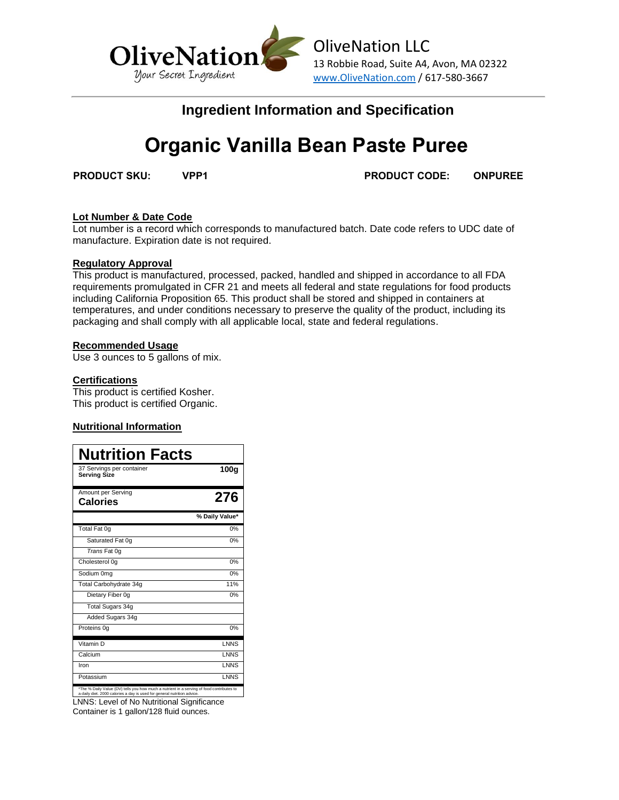

# **Ingredient Information and Specification**

# **Organic Vanilla Bean Paste Puree**

**PRODUCT SKU: VPP1 PRODUCT CODE: ONPUREE**

# **Lot Number & Date Code**

Lot number is a record which corresponds to manufactured batch. Date code refers to UDC date of manufacture. Expiration date is not required.

### **Regulatory Approval**

This product is manufactured, processed, packed, handled and shipped in accordance to all FDA requirements promulgated in CFR 21 and meets all federal and state regulations for food products including California Proposition 65. This product shall be stored and shipped in containers at temperatures, and under conditions necessary to preserve the quality of the product, including its packaging and shall comply with all applicable local, state and federal regulations.

### **Recommended Usage**

Use 3 ounces to 5 gallons of mix.

# **Certifications**

This product is certified Kosher. This product is certified Organic.

# **Nutritional Information**

| <b>Nutrition Facts</b>                                                                                                                                               |                  |
|----------------------------------------------------------------------------------------------------------------------------------------------------------------------|------------------|
| 37 Servings per container<br><b>Serving Size</b>                                                                                                                     | 100 <sub>g</sub> |
| Amount per Serving<br><b>Calories</b>                                                                                                                                | 276              |
|                                                                                                                                                                      | % Daily Value*   |
| Total Fat 0g                                                                                                                                                         | 0%               |
| Saturated Fat 0q                                                                                                                                                     | 0%               |
| Trans Fat 0g                                                                                                                                                         |                  |
| Cholesterol 0g                                                                                                                                                       | 0%               |
| Sodium 0mg                                                                                                                                                           | 0%               |
| Total Carbohydrate 34q                                                                                                                                               | 11%              |
| Dietary Fiber 0q                                                                                                                                                     | 0%               |
| Total Sugars 34g                                                                                                                                                     |                  |
| Added Sugars 34g                                                                                                                                                     |                  |
| Proteins 0q                                                                                                                                                          | 0%               |
| Vitamin D                                                                                                                                                            | <b>LNNS</b>      |
| Calcium                                                                                                                                                              | <b>LNNS</b>      |
| Iron                                                                                                                                                                 | <b>LNNS</b>      |
| Potassium                                                                                                                                                            | <b>LNNS</b>      |
| *The % Daily Value (DV) tells you how much a nutrient in a serving of food contributes to<br>a daily diet. 2000 calories a day is used for general nutrition advice. |                  |

LNNS: Level of No Nutritional Significance Container is 1 gallon/128 fluid ounces.